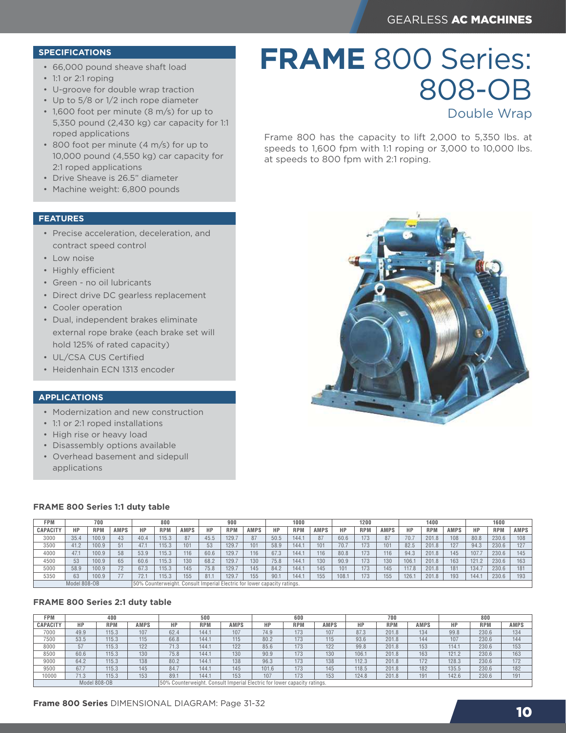808-OB

Double Wrap

# **SPECIFICATIONS**

- 66,000 pound sheave shaft load
- 1:1 or 2:1 roping
- U-groove for double wrap traction
- Up to 5/8 or 1/2 inch rope diameter
- 1,600 foot per minute (8 m/s) for up to 5,350 pound (2,430 kg) car capacity for 1:1 roped applications
- 800 foot per minute (4 m/s) for up to 10,000 pound (4,550 kg) car capacity for 2:1 roped applications
- Drive Sheave is 26.5" diameter
- Machine weight: 6,800 pounds

## **FEATURES**

- Precise acceleration, deceleration, and contract speed control
- Low noise
- Highly efficient
- Green no oil lubricants
- Direct drive DC gearless replacement
- Cooler operation
- Dual, independent brakes eliminate external rope brake (each brake set will hold 125% of rated capacity)
- UL/CSA CUS Certified
- Heidenhain ECN 1313 encoder

## **APPLICATIONS**

- Modernization and new construction
- 1:1 or 2:1 roped installations
- High rise or heavy load
- Disassembly options available
- Overhead basement and sidepull applications

## **FRAME 800 Series 1:1 duty table**

| FPM             | 700  |                                                                           | 800         |      | 900        |             |      | 1000       |             |      | 1200       |             |      | 1400       |             |       | 1600       |             |       |            |             |
|-----------------|------|---------------------------------------------------------------------------|-------------|------|------------|-------------|------|------------|-------------|------|------------|-------------|------|------------|-------------|-------|------------|-------------|-------|------------|-------------|
| <b>CAPACITY</b> | HP   | <b>RPM</b>                                                                | <b>AMPS</b> | НP   | <b>RPM</b> | <b>AMPS</b> | HP   | <b>RPM</b> | <b>AMPS</b> | HP   | <b>RPM</b> | <b>AMPS</b> | HP   | <b>RPM</b> | <b>AMPS</b> | HP    | <b>RPM</b> | <b>AMPS</b> | НP    | <b>RPM</b> | <b>AMPS</b> |
| 3000            | 35.4 | 100.9                                                                     | 43          | 40.4 | 115.3      | 87          | 45.5 | 129.7      | 87          | 50.5 | 144.1      | 87          | 60.6 | 173        | 87          | 70.7  | 201.8      | 108         | 80.8  | 230.6      | 108         |
| 3500            | 41.2 | 100.9                                                                     | 51          | 47.1 | 115.3      | 101         | 53   | 129.7      | 101         | 58.9 | 144.1      | 101         | 70.7 | 173        | 101         | 82.5  | 201.8      | 127         | 94.3  | 230.6      | 127         |
| 4000            | 47.1 | 100.9                                                                     | 58          | 53.9 | 115.3      | 116         | 60.6 | 129.7      | 116         | 67.3 | 144.1      | 116         | 80.8 | 173        | 116         | 94.3  | 201.8      | 145         | 107.  | 230.6      | 145         |
| 4500            | 53   | 100.9                                                                     | 65          | 60.6 | 115.3      | 130         | 68.2 | 129.7      | 130         | 75.8 | 144.1      | 130         | 90.9 | 173        | 130         | 106.1 | 201.8      | 163         | 121.2 | 230.6      | 163         |
| 5000            | 58.9 | 100.9                                                                     | 72          | 67.3 | 115.3      | 145         | 75.8 | 129.7      | 145         | 84.2 | 144.1      | 145         | 101  | 173        | 145         | 117.8 | 201.8      | 181         | 134.7 | 230.6      | 181         |
| 5350            | 63   | 100.9                                                                     |             | 72.1 | 115.3      | 155         | 81.1 | 129.7      | 155         | 90.1 | 144.1      | 155         | 108. | 173        | 155         | 126.  | 201.8      | 193         | 144.  | 230.6      | 193         |
| Model 808-OB    |      | [50% Counterweight, Consult Imperial Electric for lower capacity ratings. |             |      |            |             |      |            |             |      |            |             |      |            |             |       |            |             |       |            |             |

## **FRAME 800 Series 2:1 duty table**

| FPM      | 400  |              |      | 500                                                                         |            |      |       | 600        |      |       | 700        |             | 800   |            |             |
|----------|------|--------------|------|-----------------------------------------------------------------------------|------------|------|-------|------------|------|-------|------------|-------------|-------|------------|-------------|
| CAPACITY | НP   | <b>RPM</b>   | AMPS | HP                                                                          | <b>RPM</b> | AMPS | НP    | <b>RPM</b> | AMPS | НP    | <b>RPM</b> | <b>AMPS</b> | НP    | <b>RPM</b> | <b>AMPS</b> |
| 7000     | 49.9 | 115.3        | 107  | 62.4                                                                        | 144.1      | 107  | 74.9  | 173        | 107  | 87.3  | 201.8      | 134         | 99.8  | 230.6      | 134         |
| 7500     | 53.5 | 115.3        | 115  | 66.8                                                                        | 144.1      | 115  | 80.2  | 173        | 115  | 93.6  | 201.8      | 144         | 107   | 230.6      | 144         |
| 8000     | 57   | 115.3        | 122  | 71.3                                                                        | 144.1      | 122  | 85.6  | 173        | 122  | 99.8  | 201.8      | 153         | 114.1 | 230.6      | 153         |
| 8500     | 60.6 | 115.3        | 130  | 75.8                                                                        | 144.1      | 130  | 90.9  | 173        | 130  | 106.1 | 201.8      | 163         | 121.2 | 230.6      | 163         |
| 9000     | 64.2 | 115.3        | 138  | 80.2                                                                        | 144.1      | 138  | 96.3  | 173        | 138  | 112.3 | 201.8      | 172         | 128.3 | 230.6      | 172         |
| 9500     | 67.7 | 115.3        | 145  | 84.7                                                                        | 144.1      | 145  | 101.6 | 173        | 145  | 118.5 | 201.8      | 182         | 135.5 | 230.6      | 182         |
| 0000     | 71.3 | 115.3        | 153  | 89.1                                                                        | 144.1      | 153  | 107   | 173        | 153  | 124.8 | 201.8      | 191         | 142.6 | 230.6      | 191         |
|          |      | Model 808-OB |      | Counterweight. Consult Imperial Electric for lower capacity ratings.<br>50% |            |      |       |            |      |       |            |             |       |            |             |

**FRAME** 800 Series:

Frame 800 has the capacity to lift 2,000 to 5,350 lbs. at speeds to 1,600 fpm with 1:1 roping or 3,000 to 10,000 lbs.

at speeds to 800 fpm with 2:1 roping.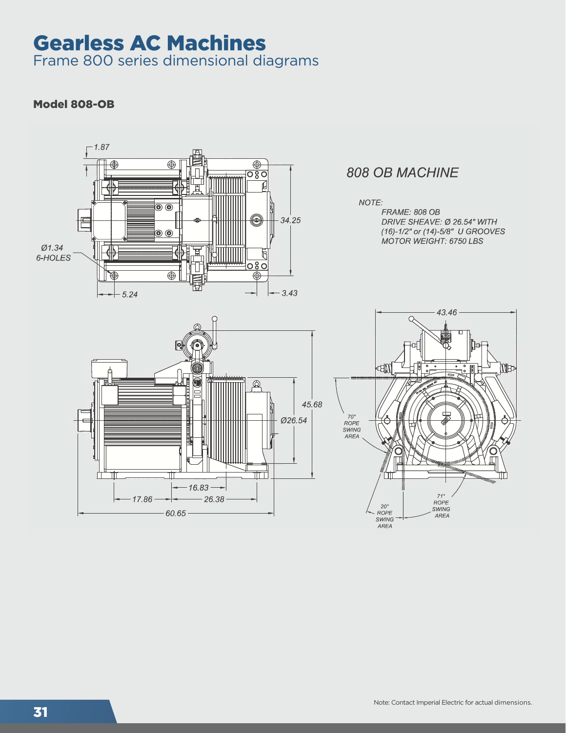# Gearless AC Machines

Frame 800 series dimensional diagrams

# Model 808-OB